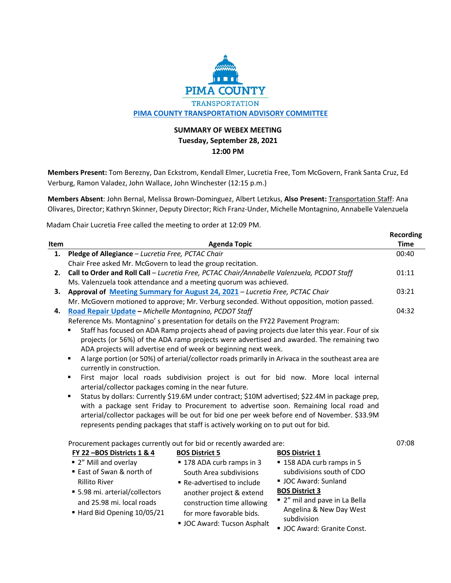

## **SUMMARY OF WEBEX MEETING Tuesday, September 28, 2021 12:00 PM**

**Members Present:** Tom Berezny, Dan Eckstrom, Kendall Elmer, Lucretia Free, Tom McGovern, Frank Santa Cruz, Ed Verburg, Ramon Valadez, John Wallace, John Winchester (12:15 p.m.)

**Members Absent**: John Bernal, Melissa Brown-Dominguez, Albert Letzkus, **Also Present:** Transportation Staff: Ana Olivares, Director; Kathryn Skinner, Deputy Director; Rich Franz-Under, Michelle Montagnino, Annabelle Valenzuela

Madam Chair Lucretia Free called the meeting to order at 12:09 PM.

|      |                                                                                                                                                    | <b>Recording</b> |
|------|----------------------------------------------------------------------------------------------------------------------------------------------------|------------------|
| Item | <b>Agenda Topic</b>                                                                                                                                | <b>Time</b>      |
| 1.   | Pledge of Allegiance - Lucretia Free, PCTAC Chair                                                                                                  | 00:40            |
|      | Chair Free asked Mr. McGovern to lead the group recitation.                                                                                        |                  |
| 2.   | Call to Order and Roll Call - Lucretia Free, PCTAC Chair/Annabelle Valenzuela, PCDOT Staff                                                         | 01:11            |
|      | Ms. Valenzuela took attendance and a meeting quorum was achieved.                                                                                  |                  |
| 3.   | Approval of Meeting Summary for August 24, 2021 - Lucretia Free, PCTAC Chair                                                                       | 03:21            |
|      | Mr. McGovern motioned to approve; Mr. Verburg seconded. Without opposition, motion passed.                                                         |                  |
| 4.   | Road Repair Update - Michelle Montagnino, PCDOT Staff                                                                                              | 04:32            |
|      | Reference Ms. Montagnino' s presentation for details on the FY22 Pavement Program:                                                                 |                  |
|      | Staff has focused on ADA Ramp projects ahead of paving projects due later this year. Four of six                                                   |                  |
|      | projects (or 56%) of the ADA ramp projects were advertised and awarded. The remaining two                                                          |                  |
|      | ADA projects will advertise end of week or beginning next week.                                                                                    |                  |
|      | A large portion (or 50%) of arterial/collector roads primarily in Arivaca in the southeast area are<br>٠                                           |                  |
|      | currently in construction.                                                                                                                         |                  |
|      | First major local roads subdivision project is out for bid now. More local internal<br>٠                                                           |                  |
|      | arterial/collector packages coming in the near future.                                                                                             |                  |
|      | Status by dollars: Currently \$19.6M under contract; \$10M advertised; \$22.4M in package prep,<br>٠                                               |                  |
|      | with a package sent Friday to Procurement to advertise soon. Remaining local road and                                                              |                  |
|      | arterial/collector packages will be out for bid one per week before end of November. \$33.9M                                                       |                  |
|      | represents pending packages that staff is actively working on to put out for bid.                                                                  |                  |
|      |                                                                                                                                                    | 07:08            |
|      | Procurement packages currently out for bid or recently awarded are:<br>FY 22-BOS Districts 1 & 4<br><b>BOS District 5</b><br><b>BOS District 1</b> |                  |
|      | ■ 2" Mill and overlay<br>■ 178 ADA curb ramps in 3<br>■ 158 ADA curb ramps in 5                                                                    |                  |
|      | ■ East of Swan & north of<br>subdivisions south of CDO<br>South Area subdivisions                                                                  |                  |
|      | UC Award: Sunland<br><b>Rillito River</b><br>Re-advertised to include                                                                              |                  |
|      | <b>BOS District 3</b><br>• 5.98 mi. arterial/collectors                                                                                            |                  |
|      | another project & extend<br>" 2" mil and pave in La Bella<br>and 25.98 mi. local roads                                                             |                  |
|      | construction time allowing<br>Angelina & New Day West                                                                                              |                  |
|      | Hard Bid Opening 10/05/21<br>for more favorable bids.<br>subdivision                                                                               |                  |
|      | UC Award: Tucson Asphalt<br>UC Award: Granite Const.                                                                                               |                  |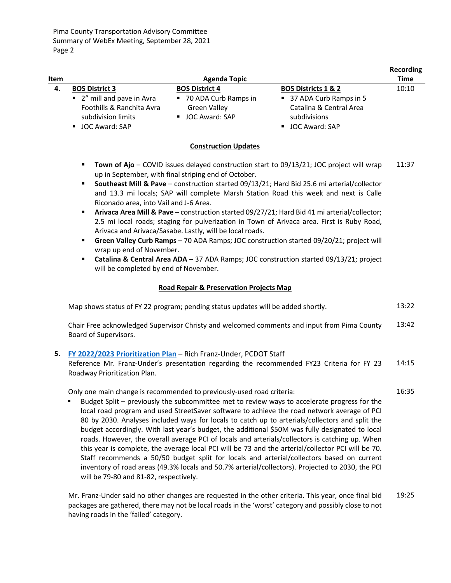| Item |                                                                               | <b>Agenda Topic</b>                                           |                                                                     | <b>Recording</b><br><b>Time</b> |
|------|-------------------------------------------------------------------------------|---------------------------------------------------------------|---------------------------------------------------------------------|---------------------------------|
| 4.   | <b>BOS District 3</b>                                                         | <b>BOS District 4</b>                                         | <b>BOS Districts 1 &amp; 2</b>                                      | 10:10                           |
|      | ■ 2" mill and pave in Avra<br>Foothills & Ranchita Avra<br>subdivision limits | 70 ADA Curb Ramps in<br><b>Green Valley</b><br>JOC Award: SAP | ■ 37 ADA Curb Ramps in 5<br>Catalina & Central Area<br>subdivisions |                                 |
|      | JOC Award: SAP                                                                |                                                               | ■ JOC Award: SAP                                                    |                                 |

## **Construction Updates**

- **Town of Ajo** COVID issues delayed construction start to 09/13/21; JOC project will wrap up in September, with final striping end of October. 11:37
- **Southeast Mill & Pave** construction started 09/13/21; Hard Bid 25.6 mi arterial/collector and 13.3 mi locals; SAP will complete Marsh Station Road this week and next is Calle Riconado area, into Vail and J-6 Area.
- **Arivaca Area Mill & Pave** construction started 09/27/21; Hard Bid 41 mi arterial/collector; 2.5 mi local roads; staging for pulverization in Town of Arivaca area. First is Ruby Road, Arivaca and Arivaca/Sasabe. Lastly, will be local roads.
- **Green Valley Curb Ramps** 70 ADA Ramps; JOC construction started 09/20/21; project will wrap up end of November.
- **Catalina & Central Area ADA** 37 ADA Ramps; JOC construction started 09/13/21; project will be completed by end of November.

## **Road Repair & Preservation Projects Map**

| Map shows status of FY 22 program; pending status updates will be added shortly. | 13:22 |
|----------------------------------------------------------------------------------|-------|
|                                                                                  |       |

Chair Free acknowledged Supervisor Christy and welcomed comments and input from Pima County Board of Supervisors. 13:42

## **5. [FY 2022/2023 Prioritization Plan](https://webcms.pima.gov/UserFiles/Servers/Server_6/File/Government/Transportation/TransportationAdvisoryCommittee/DocumentsTab/Sep28_2021/20210928_FY22-23_PrioritizationPlan-1.pdf)** – Rich Franz-Under, PCDOT Staff

Reference Mr. Franz-Under's presentation regarding the recommended FY23 Criteria for FY 23 Roadway Prioritization Plan. 14:15

Only one main change is recommended to previously-used road criteria:

16:35

 Budget Split – previously the subcommittee met to review ways to accelerate progress for the local road program and used StreetSaver software to achieve the road network average of PCI 80 by 2030. Analyses included ways for locals to catch up to arterials/collectors and split the budget accordingly. With last year's budget, the additional \$50M was fully designated to local roads. However, the overall average PCI of locals and arterials/collectors is catching up. When this year is complete, the average local PCI will be 73 and the arterial/collector PCI will be 70. Staff recommends a 50/50 budget split for locals and arterial/collectors based on current inventory of road areas (49.3% locals and 50.7% arterial/collectors). Projected to 2030, the PCI will be 79-80 and 81-82, respectively.

Mr. Franz-Under said no other changes are requested in the other criteria. This year, once final bid packages are gathered, there may not be local roads in the 'worst' category and possibly close to not having roads in the 'failed' category. 19:25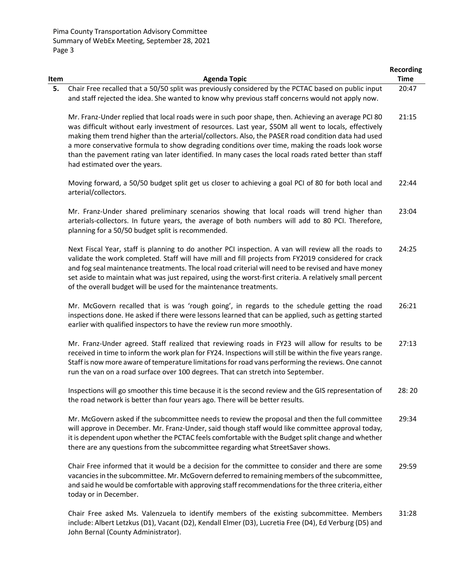| Item | <b>Agenda Topic</b>                                                                                                                                                                                                                                                                                                                                                                                                                                                                                                                                             | <b>Recording</b><br><b>Time</b> |
|------|-----------------------------------------------------------------------------------------------------------------------------------------------------------------------------------------------------------------------------------------------------------------------------------------------------------------------------------------------------------------------------------------------------------------------------------------------------------------------------------------------------------------------------------------------------------------|---------------------------------|
| 5.   | Chair Free recalled that a 50/50 split was previously considered by the PCTAC based on public input<br>and staff rejected the idea. She wanted to know why previous staff concerns would not apply now.                                                                                                                                                                                                                                                                                                                                                         | 20:47                           |
|      | Mr. Franz-Under replied that local roads were in such poor shape, then. Achieving an average PCI 80<br>was difficult without early investment of resources. Last year, \$50M all went to locals, effectively<br>making them trend higher than the arterial/collectors. Also, the PASER road condition data had used<br>a more conservative formula to show degrading conditions over time, making the roads look worse<br>than the pavement rating van later identified. In many cases the local roads rated better than staff<br>had estimated over the years. | 21:15                           |
|      | Moving forward, a 50/50 budget split get us closer to achieving a goal PCI of 80 for both local and<br>arterial/collectors.                                                                                                                                                                                                                                                                                                                                                                                                                                     | 22:44                           |
|      | Mr. Franz-Under shared preliminary scenarios showing that local roads will trend higher than<br>arterials-collectors. In future years, the average of both numbers will add to 80 PCI. Therefore,<br>planning for a 50/50 budget split is recommended.                                                                                                                                                                                                                                                                                                          | 23:04                           |
|      | Next Fiscal Year, staff is planning to do another PCI inspection. A van will review all the roads to<br>validate the work completed. Staff will have mill and fill projects from FY2019 considered for crack<br>and fog seal maintenance treatments. The local road criterial will need to be revised and have money<br>set aside to maintain what was just repaired, using the worst-first criteria. A relatively small percent<br>of the overall budget will be used for the maintenance treatments.                                                          | 24:25                           |
|      | Mr. McGovern recalled that is was 'rough going', in regards to the schedule getting the road<br>inspections done. He asked if there were lessons learned that can be applied, such as getting started<br>earlier with qualified inspectors to have the review run more smoothly.                                                                                                                                                                                                                                                                                | 26:21                           |
|      | Mr. Franz-Under agreed. Staff realized that reviewing roads in FY23 will allow for results to be<br>received in time to inform the work plan for FY24. Inspections will still be within the five years range.<br>Staff is now more aware of temperature limitations for road vans performing the reviews. One cannot<br>run the van on a road surface over 100 degrees. That can stretch into September.                                                                                                                                                        | 27:13                           |
|      | Inspections will go smoother this time because it is the second review and the GIS representation of<br>the road network is better than four years ago. There will be better results.                                                                                                                                                                                                                                                                                                                                                                           | 28:20                           |
|      | Mr. McGovern asked if the subcommittee needs to review the proposal and then the full committee<br>will approve in December. Mr. Franz-Under, said though staff would like committee approval today,<br>it is dependent upon whether the PCTAC feels comfortable with the Budget split change and whether<br>there are any questions from the subcommittee regarding what StreetSaver shows.                                                                                                                                                                    | 29:34                           |
|      | Chair Free informed that it would be a decision for the committee to consider and there are some<br>vacancies in the subcommittee. Mr. McGovern deferred to remaining members of the subcommittee,<br>and said he would be comfortable with approving staff recommendations for the three criteria, either<br>today or in December.                                                                                                                                                                                                                             | 29:59                           |
|      | Chair Free asked Ms. Valenzuela to identify members of the existing subcommittee. Members                                                                                                                                                                                                                                                                                                                                                                                                                                                                       | 31:28                           |

Chair Free asked Ms. Valenzuela to identify members of the existing subcommittee. Members include: Albert Letzkus (D1), Vacant (D2), Kendall Elmer (D3), Lucretia Free (D4), Ed Verburg (D5) and John Bernal (County Administrator). 31:28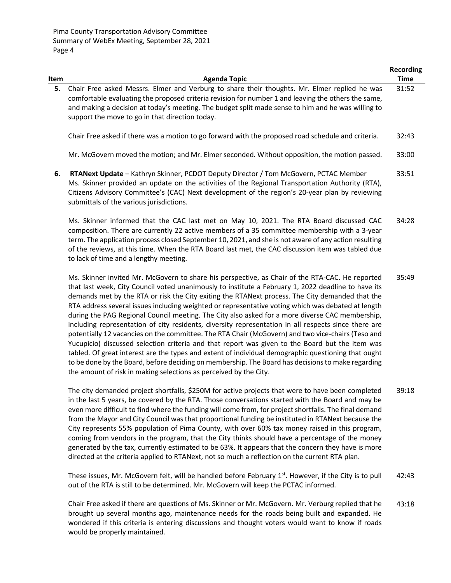|      |                                                                                                                                                                                                                                                                                                                                                                                                                                                                                                                                                                                                                                                                                                                                                                                                                                                                                                                                                                                                                                                                                                                     | <b>Recording</b> |
|------|---------------------------------------------------------------------------------------------------------------------------------------------------------------------------------------------------------------------------------------------------------------------------------------------------------------------------------------------------------------------------------------------------------------------------------------------------------------------------------------------------------------------------------------------------------------------------------------------------------------------------------------------------------------------------------------------------------------------------------------------------------------------------------------------------------------------------------------------------------------------------------------------------------------------------------------------------------------------------------------------------------------------------------------------------------------------------------------------------------------------|------------------|
| Item | <b>Agenda Topic</b>                                                                                                                                                                                                                                                                                                                                                                                                                                                                                                                                                                                                                                                                                                                                                                                                                                                                                                                                                                                                                                                                                                 | <b>Time</b>      |
| 5.   | Chair Free asked Messrs. Elmer and Verburg to share their thoughts. Mr. Elmer replied he was<br>comfortable evaluating the proposed criteria revision for number 1 and leaving the others the same,<br>and making a decision at today's meeting. The budget split made sense to him and he was willing to<br>support the move to go in that direction today.                                                                                                                                                                                                                                                                                                                                                                                                                                                                                                                                                                                                                                                                                                                                                        | 31:52            |
|      | Chair Free asked if there was a motion to go forward with the proposed road schedule and criteria.                                                                                                                                                                                                                                                                                                                                                                                                                                                                                                                                                                                                                                                                                                                                                                                                                                                                                                                                                                                                                  | 32:43            |
|      | Mr. McGovern moved the motion; and Mr. Elmer seconded. Without opposition, the motion passed.                                                                                                                                                                                                                                                                                                                                                                                                                                                                                                                                                                                                                                                                                                                                                                                                                                                                                                                                                                                                                       | 33:00            |
| 6.   | RTANext Update - Kathryn Skinner, PCDOT Deputy Director / Tom McGovern, PCTAC Member<br>Ms. Skinner provided an update on the activities of the Regional Transportation Authority (RTA),<br>Citizens Advisory Committee's (CAC) Next development of the region's 20-year plan by reviewing<br>submittals of the various jurisdictions.                                                                                                                                                                                                                                                                                                                                                                                                                                                                                                                                                                                                                                                                                                                                                                              | 33:51            |
|      | Ms. Skinner informed that the CAC last met on May 10, 2021. The RTA Board discussed CAC<br>composition. There are currently 22 active members of a 35 committee membership with a 3-year<br>term. The application process closed September 10, 2021, and she is not aware of any action resulting<br>of the reviews, at this time. When the RTA Board last met, the CAC discussion item was tabled due<br>to lack of time and a lengthy meeting.                                                                                                                                                                                                                                                                                                                                                                                                                                                                                                                                                                                                                                                                    | 34:28            |
|      | Ms. Skinner invited Mr. McGovern to share his perspective, as Chair of the RTA-CAC. He reported<br>that last week, City Council voted unanimously to institute a February 1, 2022 deadline to have its<br>demands met by the RTA or risk the City exiting the RTANext process. The City demanded that the<br>RTA address several issues including weighted or representative voting which was debated at length<br>during the PAG Regional Council meeting. The City also asked for a more diverse CAC membership,<br>including representation of city residents, diversity representation in all respects since there are<br>potentially 12 vacancies on the committee. The RTA Chair (McGovern) and two vice-chairs (Teso and<br>Yucupicio) discussed selection criteria and that report was given to the Board but the item was<br>tabled. Of great interest are the types and extent of individual demographic questioning that ought<br>to be done by the Board, before deciding on membership. The Board has decisions to make regarding<br>the amount of risk in making selections as perceived by the City. | 35:49            |
|      | $\blacksquare$                                                                                                                                                                                                                                                                                                                                                                                                                                                                                                                                                                                                                                                                                                                                                                                                                                                                                                                                                                                                                                                                                                      |                  |

The city demanded project shortfalls, \$250M for active projects that were to have been completed in the last 5 years, be covered by the RTA. Those conversations started with the Board and may be even more difficult to find where the funding will come from, for project shortfalls. The final demand from the Mayor and City Council was that proportional funding be instituted in RTANext because the City represents 55% population of Pima County, with over 60% tax money raised in this program, coming from vendors in the program, that the City thinks should have a percentage of the money generated by the tax, currently estimated to be 63%. It appears that the concern they have is more directed at the criteria applied to RTANext, not so much a reflection on the current RTA plan. 39:18

These issues, Mr. McGovern felt, will be handled before February  $1<sup>st</sup>$ . However, if the City is to pull out of the RTA is still to be determined. Mr. McGovern will keep the PCTAC informed. 42:43

Chair Free asked if there are questions of Ms. Skinner or Mr. McGovern. Mr. Verburg replied that he brought up several months ago, maintenance needs for the roads being built and expanded. He wondered if this criteria is entering discussions and thought voters would want to know if roads would be properly maintained. 43:18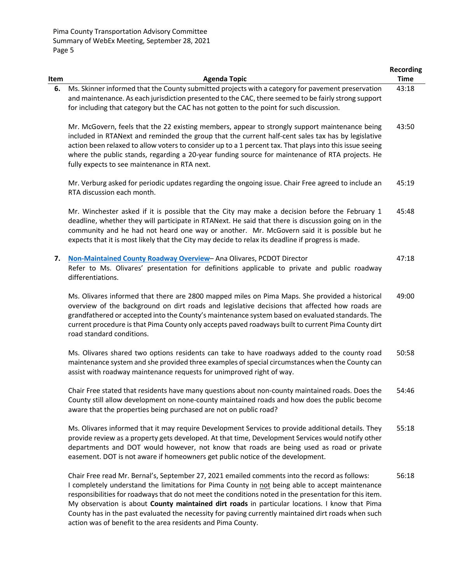| Item | <b>Agenda Topic</b>                                                                                                                                                                                                                                                                                                                                                                                                                                                                                                 | <b>Recording</b><br><b>Time</b> |
|------|---------------------------------------------------------------------------------------------------------------------------------------------------------------------------------------------------------------------------------------------------------------------------------------------------------------------------------------------------------------------------------------------------------------------------------------------------------------------------------------------------------------------|---------------------------------|
| 6.   | Ms. Skinner informed that the County submitted projects with a category for pavement preservation<br>and maintenance. As each jurisdiction presented to the CAC, there seemed to be fairly strong support<br>for including that category but the CAC has not gotten to the point for such discussion.                                                                                                                                                                                                               | 43:18                           |
|      | Mr. McGovern, feels that the 22 existing members, appear to strongly support maintenance being<br>included in RTANext and reminded the group that the current half-cent sales tax has by legislative<br>action been relaxed to allow voters to consider up to a 1 percent tax. That plays into this issue seeing<br>where the public stands, regarding a 20-year funding source for maintenance of RTA projects. He<br>fully expects to see maintenance in RTA next.                                                | 43:50                           |
|      | Mr. Verburg asked for periodic updates regarding the ongoing issue. Chair Free agreed to include an<br>RTA discussion each month.                                                                                                                                                                                                                                                                                                                                                                                   | 45:19                           |
|      | Mr. Winchester asked if it is possible that the City may make a decision before the February 1<br>deadline, whether they will participate in RTANext. He said that there is discussion going on in the<br>community and he had not heard one way or another. Mr. McGovern said it is possible but he<br>expects that it is most likely that the City may decide to relax its deadline if progress is made.                                                                                                          | 45:48                           |
| 7.   | Non-Maintained County Roadway Overview-Ana Olivares, PCDOT Director<br>Refer to Ms. Olivares' presentation for definitions applicable to private and public roadway<br>differentiations.                                                                                                                                                                                                                                                                                                                            | 47:18                           |
|      | Ms. Olivares informed that there are 2800 mapped miles on Pima Maps. She provided a historical<br>overview of the background on dirt roads and legislative decisions that affected how roads are<br>grandfathered or accepted into the County's maintenance system based on evaluated standards. The<br>current procedure is that Pima County only accepts paved roadways built to current Pima County dirt<br>road standard conditions.                                                                            | 49:00                           |
|      | Ms. Olivares shared two options residents can take to have roadways added to the county road<br>maintenance system and she provided three examples of special circumstances when the County can<br>assist with roadway maintenance requests for unimproved right of way.                                                                                                                                                                                                                                            | 50:58                           |
|      | Chair Free stated that residents have many questions about non-county maintained roads. Does the<br>County still allow development on none-county maintained roads and how does the public become<br>aware that the properties being purchased are not on public road?                                                                                                                                                                                                                                              | 54:46                           |
|      | Ms. Olivares informed that it may require Development Services to provide additional details. They<br>provide review as a property gets developed. At that time, Development Services would notify other<br>departments and DOT would however, not know that roads are being used as road or private<br>easement. DOT is not aware if homeowners get public notice of the development.                                                                                                                              | 55:18                           |
|      | Chair Free read Mr. Bernal's, September 27, 2021 emailed comments into the record as follows:<br>I completely understand the limitations for Pima County in not being able to accept maintenance<br>responsibilities for roadways that do not meet the conditions noted in the presentation for this item.<br>My observation is about County maintained dirt roads in particular locations. I know that Pima<br>County has in the past evaluated the necessity for paving currently maintained dirt roads when such | 56:18                           |

action was of benefit to the area residents and Pima County.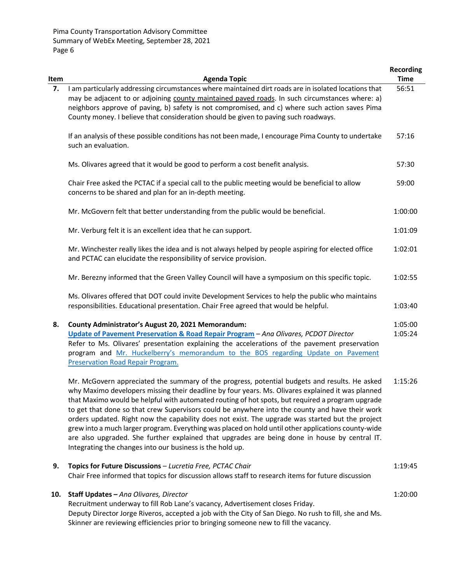|      |                                                                                                                                                                                                                                                                                                                                                                                                                                                                                                                                                                                                                                                                                                                                                                                    | <b>Recording</b>   |
|------|------------------------------------------------------------------------------------------------------------------------------------------------------------------------------------------------------------------------------------------------------------------------------------------------------------------------------------------------------------------------------------------------------------------------------------------------------------------------------------------------------------------------------------------------------------------------------------------------------------------------------------------------------------------------------------------------------------------------------------------------------------------------------------|--------------------|
| Item | <b>Agenda Topic</b>                                                                                                                                                                                                                                                                                                                                                                                                                                                                                                                                                                                                                                                                                                                                                                | <b>Time</b>        |
| 7.   | I am particularly addressing circumstances where maintained dirt roads are in isolated locations that<br>may be adjacent to or adjoining county maintained paved roads. In such circumstances where: a)<br>neighbors approve of paving, b) safety is not compromised, and c) where such action saves Pima<br>County money. I believe that consideration should be given to paving such roadways.                                                                                                                                                                                                                                                                                                                                                                                   | 56:51              |
|      | If an analysis of these possible conditions has not been made, I encourage Pima County to undertake<br>such an evaluation.                                                                                                                                                                                                                                                                                                                                                                                                                                                                                                                                                                                                                                                         | 57:16              |
|      | Ms. Olivares agreed that it would be good to perform a cost benefit analysis.                                                                                                                                                                                                                                                                                                                                                                                                                                                                                                                                                                                                                                                                                                      | 57:30              |
|      | Chair Free asked the PCTAC if a special call to the public meeting would be beneficial to allow<br>concerns to be shared and plan for an in-depth meeting.                                                                                                                                                                                                                                                                                                                                                                                                                                                                                                                                                                                                                         | 59:00              |
|      | Mr. McGovern felt that better understanding from the public would be beneficial.                                                                                                                                                                                                                                                                                                                                                                                                                                                                                                                                                                                                                                                                                                   | 1:00:00            |
|      | Mr. Verburg felt it is an excellent idea that he can support.                                                                                                                                                                                                                                                                                                                                                                                                                                                                                                                                                                                                                                                                                                                      | 1:01:09            |
|      | Mr. Winchester really likes the idea and is not always helped by people aspiring for elected office<br>and PCTAC can elucidate the responsibility of service provision.                                                                                                                                                                                                                                                                                                                                                                                                                                                                                                                                                                                                            | 1:02:01            |
|      | Mr. Berezny informed that the Green Valley Council will have a symposium on this specific topic.                                                                                                                                                                                                                                                                                                                                                                                                                                                                                                                                                                                                                                                                                   | 1:02:55            |
|      | Ms. Olivares offered that DOT could invite Development Services to help the public who maintains<br>responsibilities. Educational presentation. Chair Free agreed that would be helpful.                                                                                                                                                                                                                                                                                                                                                                                                                                                                                                                                                                                           | 1:03:40            |
| 8.   | County Administrator's August 20, 2021 Memorandum:<br>Update of Pavement Preservation & Road Repair Program - Ana Olivares, PCDOT Director<br>Refer to Ms. Olivares' presentation explaining the accelerations of the pavement preservation<br>program and Mr. Huckelberry's memorandum to the BOS regarding Update on Pavement<br>Preservation Road Repair Program.                                                                                                                                                                                                                                                                                                                                                                                                               | 1:05:00<br>1:05:24 |
|      | Mr. McGovern appreciated the summary of the progress, potential budgets and results. He asked<br>why Maximo developers missing their deadline by four years. Ms. Olivares explained it was planned<br>that Maximo would be helpful with automated routing of hot spots, but required a program upgrade<br>to get that done so that crew Supervisors could be anywhere into the county and have their work<br>orders updated. Right now the capability does not exist. The upgrade was started but the project<br>grew into a much larger program. Everything was placed on hold until other applications county-wide<br>are also upgraded. She further explained that upgrades are being done in house by central IT.<br>Integrating the changes into our business is the hold up. | 1:15:26            |
| 9.   | Topics for Future Discussions - Lucretia Free, PCTAC Chair<br>Chair Free informed that topics for discussion allows staff to research items for future discussion                                                                                                                                                                                                                                                                                                                                                                                                                                                                                                                                                                                                                  | 1:19:45            |
| 10.  | Staff Updates - Ana Olivares, Director<br>Recruitment underway to fill Rob Lane's vacancy, Advertisement closes Friday.<br>Deputy Director Jorge Riveros, accepted a job with the City of San Diego. No rush to fill, she and Ms.                                                                                                                                                                                                                                                                                                                                                                                                                                                                                                                                                  | 1:20:00            |

Skinner are reviewing efficiencies prior to bringing someone new to fill the vacancy.